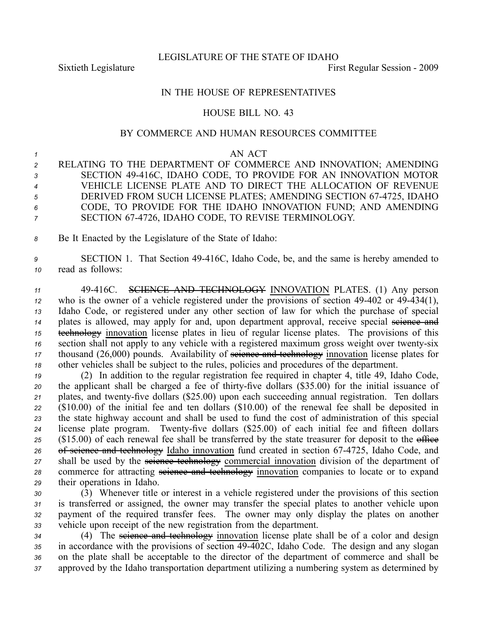LEGISLATURE OF THE STATE OF IDAHO

Sixtieth Legislature **First** Regular Session - 2009

## IN THE HOUSE OF REPRESENTATIVES

## HOUSE BILL NO. 43

## BY COMMERCE AND HUMAN RESOURCES COMMITTEE

## *1* AN ACT

- *<sup>2</sup>* RELATING TO THE DEPARTMENT OF COMMERCE AND INNOVATION; AMENDING *<sup>3</sup>* SECTION 49416C, IDAHO CODE, TO PROVIDE FOR AN INNOVATION MOTOR *<sup>4</sup>* VEHICLE LICENSE PLATE AND TO DIRECT THE ALLOCATION OF REVENUE *<sup>5</sup>* DERIVED FROM SUCH LICENSE PLATES; AMENDING SECTION 674725, IDAHO *<sup>6</sup>* CODE, TO PROVIDE FOR THE IDAHO INNOVATION FUND; AND AMENDING *<sup>7</sup>* SECTION 674726, IDAHO CODE, TO REVISE TERMINOLOGY.
- *<sup>8</sup>* Be It Enacted by the Legislature of the State of Idaho:

*<sup>9</sup>* SECTION 1. That Section 49416C, Idaho Code, be, and the same is hereby amended to *<sup>10</sup>* read as follows:

 49416C. SCIENCE AND TECHNOLOGY INNOVATION PLATES. (1) Any person <sup>12</sup> who is the owner of a vehicle registered under the provisions of section 49-402 or 49-434(1), Idaho Code, or registered under any other section of law for which the purchase of special plates is allowed, may apply for and, upon department approval, receive special seience and technology innovation license plates in lieu of regular license plates. The provisions of this 16 section shall not apply to any vehicle with a registered maximum gross weight over twenty-six 17 thousand (26,000) pounds. Availability of seience and technology innovation license plates for other vehicles shall be subject to the rules, policies and procedures of the department.

*<sup>19</sup>* (2) In addition to the regular registration fee required in chapter 4, title 49, Idaho Code, 20 the applicant shall be charged a fee of thirty-five dollars (\$35.00) for the initial issuance of 21 plates, and twenty-five dollars (\$25.00) upon each succeeding annual registration. Ten dollars *<sup>22</sup>* (\$10.00) of the initial fee and ten dollars (\$10.00) of the renewal fee shall be deposited in *<sup>23</sup>* the state highway account and shall be used to fund the cost of administration of this special 24 license plate program. Twenty-five dollars (\$25.00) of each initial fee and fifteen dollars 25 (\$15.00) of each renewal fee shall be transferred by the state treasurer for deposit to the office 26 of seignee and technology Idaho innovation fund created in section 67-4725, Idaho Code, and 27 shall be used by the seience technology commercial innovation division of the department of 28 commerce for attracting seience and technology innovation companies to locate or to expand *<sup>29</sup>* their operations in Idaho.

 (3) Whenever title or interest in <sup>a</sup> vehicle registered under the provisions of this section is transferred or assigned, the owner may transfer the special plates to another vehicle upon paymen<sup>t</sup> of the required transfer fees. The owner may only display the plates on another vehicle upon receipt of the new registration from the department.

 (4) The science and technology innovation license plate shall be of <sup>a</sup> color and design 35 in accordance with the provisions of section 49-402C, Idaho Code. The design and any slogan on the plate shall be acceptable to the director of the department of commerce and shall be approved by the Idaho transportation department utilizing <sup>a</sup> numbering system as determined by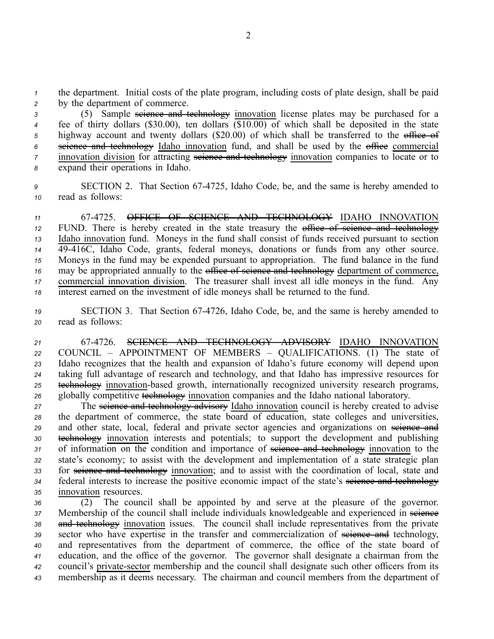*<sup>1</sup>* the department. Initial costs of the plate program, including costs of plate design, shall be paid *<sup>2</sup>* by the department of commerce.

 (5) Sample science and technology innovation license plates may be purchased for <sup>a</sup> fee of thirty dollars (\$30.00), ten dollars (\$10.00) of which shall be deposited in the state 5 highway account and twenty dollars (\$20.00) of which shall be transferred to the office of science and technology Idaho innovation fund, and shall be used by the office commercial innovation division for attracting seignee and technology innovation companies to locate or to expand their operations in Idaho.

*<sup>9</sup>* SECTION 2. That Section 674725, Idaho Code, be, and the same is hereby amended to *<sup>10</sup>* read as follows:

 674725. OFFICE OF SCIENCE AND TECHNOLOGY IDAHO INNOVATION 12 FUND. There is hereby created in the state treasury the office of seience and technology Idaho innovation fund. Moneys in the fund shall consist of funds received pursuan<sup>t</sup> to section 49416C, Idaho Code, grants, federal moneys, donations or funds from any other source. Moneys in the fund may be expended pursuan<sup>t</sup> to appropriation. The fund balance in the fund 16 may be appropriated annually to the office of science and technology department of commerce, commercial innovation division. The treasurer shall invest all idle moneys in the fund. Any interest earned on the investment of idle moneys shall be returned to the fund.

19 **SECTION 3.** That Section 67-4726, Idaho Code, be, and the same is hereby amended to *<sup>20</sup>* read as follows:

 674726. SCIENCE AND TECHNOLOGY ADVISORY IDAHO INNOVATION COUNCIL – APPOINTMENT OF MEMBERS – QUALIFICATIONS. (1) The state of Idaho recognizes that the health and expansion of Idaho's future economy will depend upon taking full advantage of research and technology, and that Idaho has impressive resources for technology innovation-based growth, internationally recognized university research programs, globally competitive technology innovation companies and the Idaho national laboratory.

<sup>27</sup> The seignee and technology advisery Idaho innovation council is hereby created to advise *<sup>28</sup>* the department of commerce, the state board of education, state colleges and universities, 29 and other state, local, federal and private sector agencies and organizations on seience and *<sup>30</sup>* technology innovation interests and potentials; to suppor<sup>t</sup> the development and publishing 31 of information on the condition and importance of <del>science and technology</del> innovation to the *<sup>32</sup>* state's economy; to assist with the development and implementation of <sup>a</sup> state strategic plan 33 for seience and technology innovation; and to assist with the coordination of local, state and 34 federal interests to increase the positive economic impact of the state's seience and technology *<sup>35</sup>* innovation resources.

 (2) The council shall be appointed by and serve at the pleasure of the governor. 37 Membership of the council shall include individuals knowledgeable and experienced in seience and technology innovation issues. The council shall include representatives from the private 39 sector who have expertise in the transfer and commercialization of seivence and technology, and representatives from the department of commerce, the office of the state board of education, and the office of the governor. The governor shall designate <sup>a</sup> chairman from the <sup>42</sup> council's private-sector membership and the council shall designate such other officers from its membership as it deems necessary. The chairman and council members from the department of